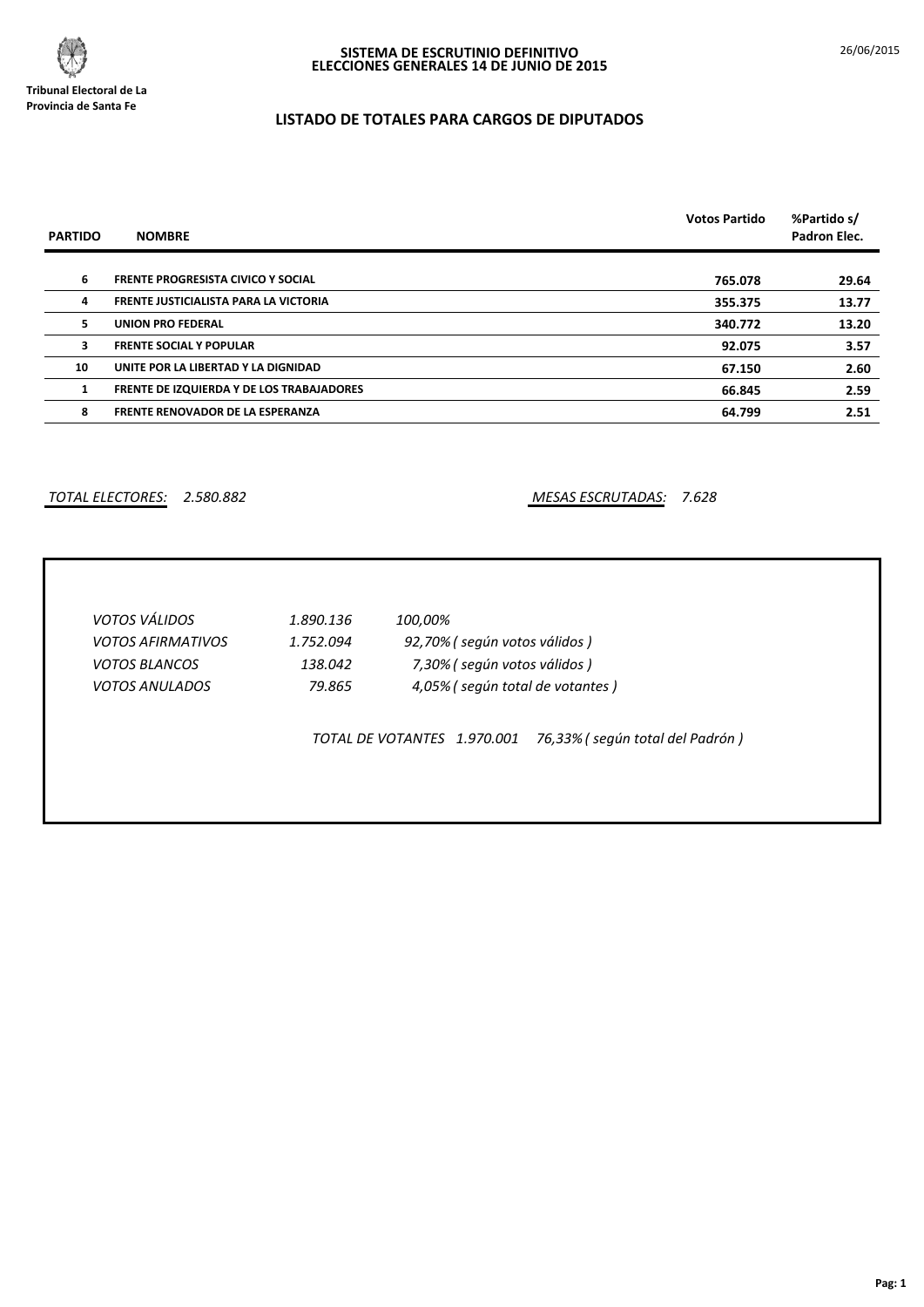

 $\overline{\phantom{a}}$ 

# **LISTADO DE TOTALES PARA CARGOS DE DIPUTADOS**

| <b>PARTIDO</b> | <b>NOMBRE</b>                                    | <b>Votos Partido</b> | %Partido s/<br>Padron Elec. |
|----------------|--------------------------------------------------|----------------------|-----------------------------|
|                |                                                  |                      |                             |
| 6              | <b>FRENTE PROGRESISTA CIVICO Y SOCIAL</b>        | 765.078              | 29.64                       |
| 4              | FRENTE JUSTICIALISTA PARA LA VICTORIA            | 355.375              | 13.77                       |
| 5.             | <b>UNION PRO FEDERAL</b>                         | 340.772              | 13.20                       |
| 3              | <b>FRENTE SOCIAL Y POPULAR</b>                   | 92.075               | 3.57                        |
| 10             | UNITE POR LA LIBERTAD Y LA DIGNIDAD              | 67.150               | 2.60                        |
|                | <b>FRENTE DE IZQUIERDA Y DE LOS TRABAJADORES</b> | 66.845               | 2.59                        |
| 8              | <b>FRENTE RENOVADOR DE LA ESPERANZA</b>          | 64.799               | 2.51                        |

*TOTAL ELECTORES: 2.580.882 MESAS ESCRUTADAS: 7.628*

| <b>VOTOS VÁLIDOS</b>     | 1.890.136 | 100,00%                                                        |
|--------------------------|-----------|----------------------------------------------------------------|
| <b>VOTOS AFIRMATIVOS</b> | 1.752.094 | 92,70% (según votos válidos)                                   |
| <b>VOTOS BLANCOS</b>     | 138.042   | 7,30% (según votos válidos)                                    |
| <i>VOTOS ANULADOS</i>    | 79.865    | 4,05% (según total de votantes)                                |
|                          |           | 76,33% (según total del Padrón)<br>TOTAL DE VOTANTES 1.970.001 |
|                          |           |                                                                |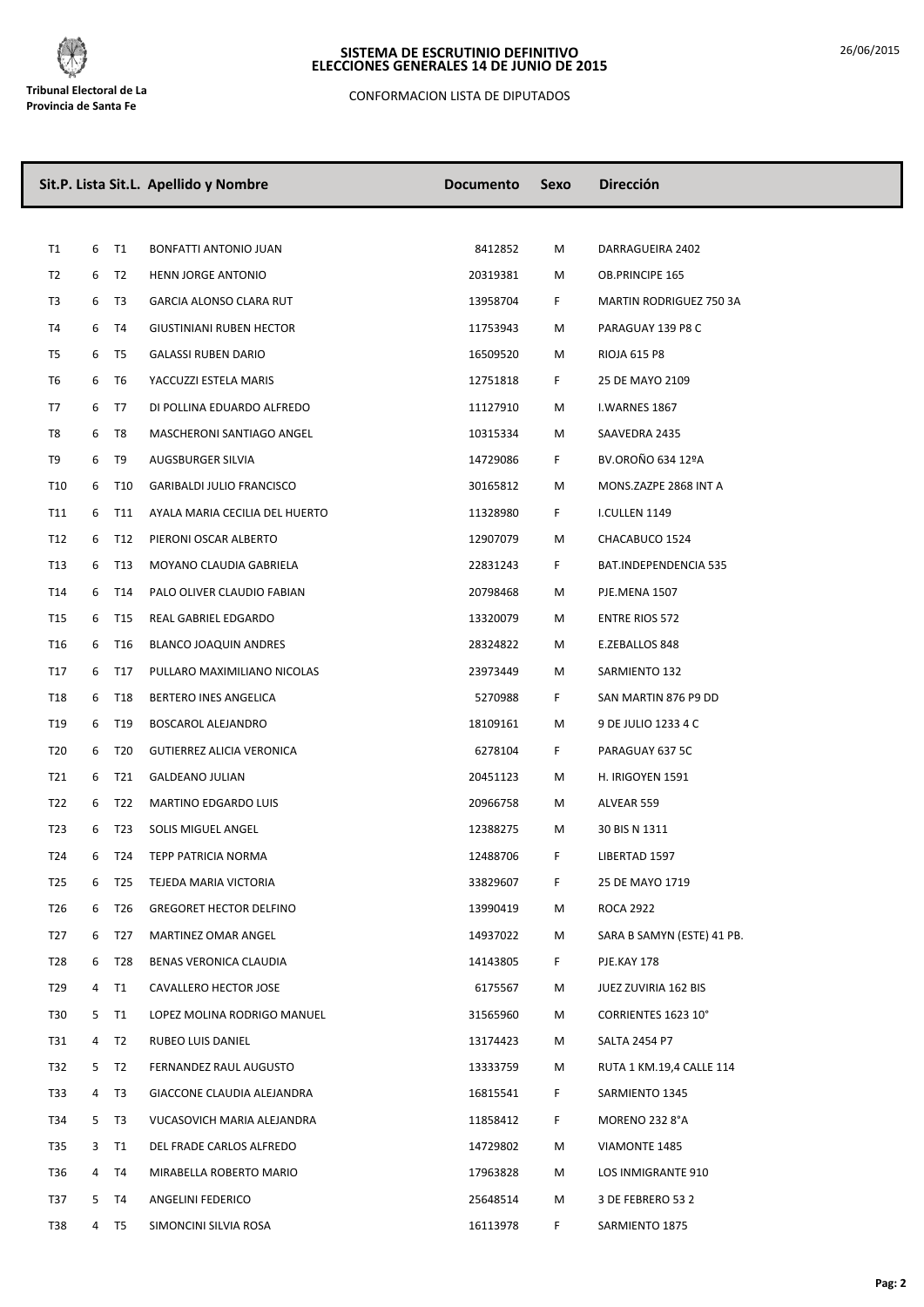

CONFORMACION LISTA DE DIPUTADOS

|                 |   |                 | Sit.P. Lista Sit.L. Apellido y Nombre | <b>Documento</b> | Sexo | <b>Dirección</b>           |
|-----------------|---|-----------------|---------------------------------------|------------------|------|----------------------------|
|                 |   |                 |                                       |                  |      |                            |
| T1              | 6 | <b>T1</b>       | BONFATTI ANTONIO JUAN                 | 8412852          | М    | DARRAGUEIRA 2402           |
| T <sub>2</sub>  | 6 | T2              | HENN JORGE ANTONIO                    | 20319381         | М    | OB.PRINCIPE 165            |
| T3              | 6 | T3              | GARCIA ALONSO CLARA RUT               | 13958704         | F.   | MARTIN RODRIGUEZ 750 3A    |
| T4              | 6 | T <sub>4</sub>  | <b>GIUSTINIANI RUBEN HECTOR</b>       | 11753943         | M    | PARAGUAY 139 P8 C          |
| T5              | 6 | T5              | <b>GALASSI RUBEN DARIO</b>            | 16509520         | М    | RIOJA 615 P8               |
| T6              | 6 | T <sub>6</sub>  | YACCUZZI ESTELA MARIS                 | 12751818         | F    | 25 DE MAYO 2109            |
| T7              | 6 | T7              | DI POLLINA EDUARDO ALFREDO            | 11127910         | М    | I.WARNES 1867              |
| T8              | 6 | T8              | MASCHERONI SANTIAGO ANGEL             | 10315334         | М    | SAAVEDRA 2435              |
| T9              | 6 | T9              | AUGSBURGER SILVIA                     | 14729086         | F.   | BV.OROÑO 634 12ºA          |
| T10             | 6 | T10             | <b>GARIBALDI JULIO FRANCISCO</b>      | 30165812         | М    | MONS.ZAZPE 2868 INT A      |
| T11             | 6 | T11             | AYALA MARIA CECILIA DEL HUERTO        | 11328980         | F.   | I.CULLEN 1149              |
| T12             | 6 | T12             | PIERONI OSCAR ALBERTO                 | 12907079         | м    | CHACABUCO 1524             |
| T13             | 6 | T13             | MOYANO CLAUDIA GABRIELA               | 22831243         | F.   | BAT.INDEPENDENCIA 535      |
| T14             | 6 | T14             | PALO OLIVER CLAUDIO FABIAN            | 20798468         | М    | PJE.MENA 1507              |
| T <sub>15</sub> | 6 | T15             | REAL GABRIEL EDGARDO                  | 13320079         | M    | <b>ENTRE RIOS 572</b>      |
| T16             | 6 | T16             | <b>BLANCO JOAQUIN ANDRES</b>          | 28324822         | M    | E.ZEBALLOS 848             |
| T17             | 6 | T17             | PULLARO MAXIMILIANO NICOLAS           | 23973449         | М    | SARMIENTO 132              |
| T18             | 6 | T18             | BERTERO INES ANGELICA                 | 5270988          | F.   | SAN MARTIN 876 P9 DD       |
| T19             | 6 | T19             | BOSCAROL ALEJANDRO                    | 18109161         | М    | 9 DE JULIO 1233 4 C        |
| T20             | 6 | T20             | GUTIERREZ ALICIA VERONICA             | 6278104          | F.   | PARAGUAY 637 5C            |
| T21             | 6 | T21             | <b>GALDEANO JULIAN</b>                | 20451123         | M    | H. IRIGOYEN 1591           |
| T22             | 6 | T22             | <b>MARTINO EDGARDO LUIS</b>           | 20966758         | М    | ALVEAR 559                 |
| T <sub>23</sub> | 6 | T <sub>23</sub> | SOLIS MIGUEL ANGEL                    | 12388275         | M    | 30 BIS N 1311              |
| T24             | 6 | T24             | <b>TEPP PATRICIA NORMA</b>            | 12488706         | F    | LIBERTAD 1597              |
| T25             | 6 | T25             | TEJEDA MARIA VICTORIA                 | 33829607         | F.   | 25 DE MAYO 1719            |
| T26             | 6 | T26             | <b>GREGORET HECTOR DELFINO</b>        | 13990419         | M    | ROCA 2922                  |
| T <sub>27</sub> | 6 | T27             | MARTINEZ OMAR ANGEL                   | 14937022         | М    | SARA B SAMYN (ESTE) 41 PB. |
| T28             | 6 | T28             | BENAS VERONICA CLAUDIA                | 14143805         | F.   | PJE.KAY 178                |
| T29             |   | 4 T1            | CAVALLERO HECTOR JOSE                 | 6175567          | M    | JUEZ ZUVIRIA 162 BIS       |
| <b>T30</b>      |   | 5 T1            | LOPEZ MOLINA RODRIGO MANUEL           | 31565960         | М    | CORRIENTES 1623 10°        |
| T31             | 4 | T2              | RUBEO LUIS DANIEL                     | 13174423         | М    | SALTA 2454 P7              |
| T32             | 5 | T2              | FERNANDEZ RAUL AUGUSTO                | 13333759         | M    | RUTA 1 KM.19,4 CALLE 114   |
| T33             | 4 | T3              | GIACCONE CLAUDIA ALEJANDRA            | 16815541         | F.   | SARMIENTO 1345             |
| T34             | 5 | T3              | VUCASOVICH MARIA ALEJANDRA            | 11858412         | F.   | MORENO 232 8°A             |
| T35             |   | 3 T1            | DEL FRADE CARLOS ALFREDO              | 14729802         | М    | VIAMONTE 1485              |
| T36             |   | 4 T4            | MIRABELLA ROBERTO MARIO               | 17963828         | M    | LOS INMIGRANTE 910         |
| T37             |   | 5 T4            | ANGELINI FEDERICO                     | 25648514         | М    | 3 DE FEBRERO 53 2          |
| T38             |   | 4 T5            | SIMONCINI SILVIA ROSA                 | 16113978         | F.   | SARMIENTO 1875             |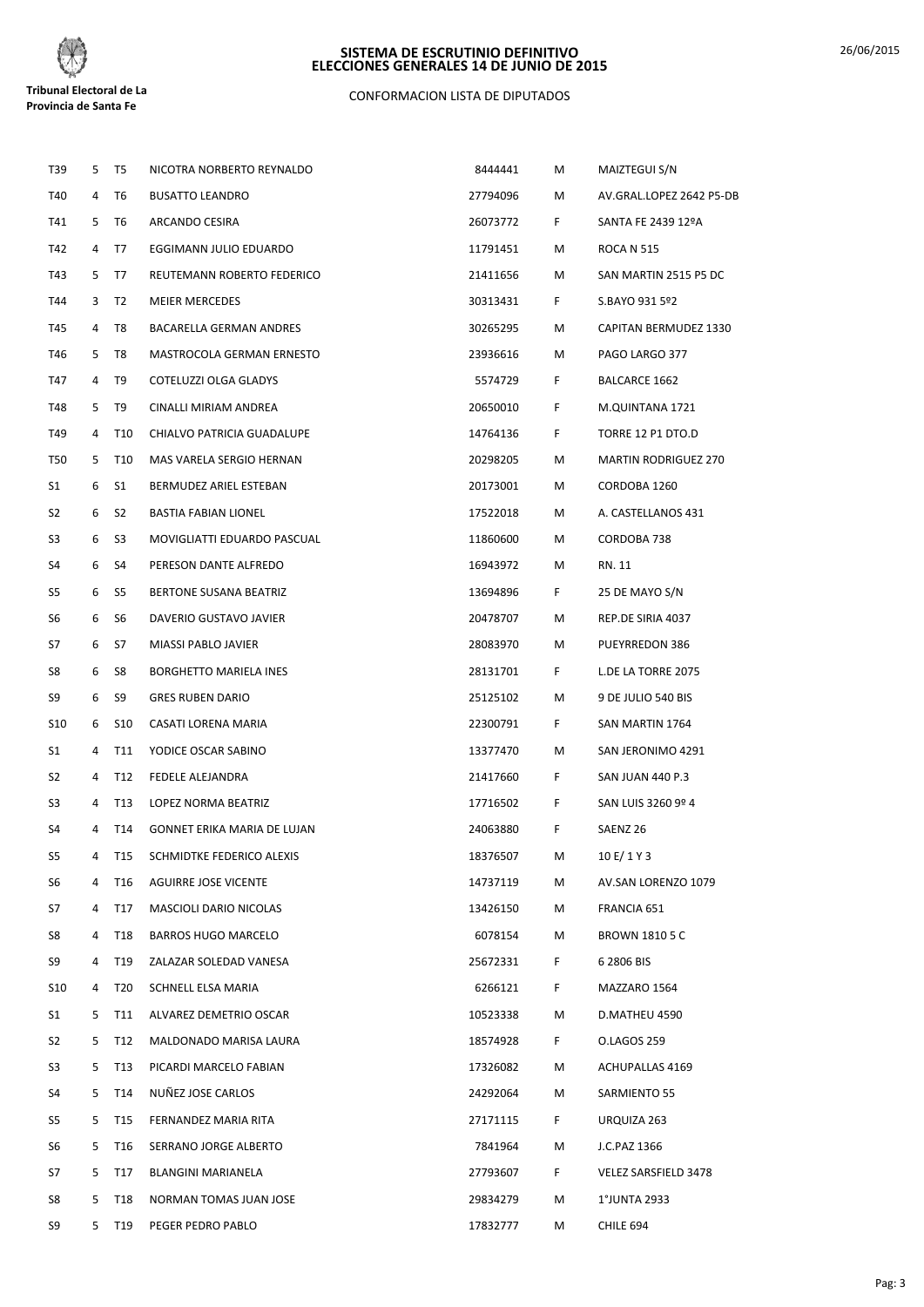

# CONFORMACION LISTA DE DIPUTADOS

| T39            | 5 | T5              | NICOTRA NORBERTO REYNALDO          | 8444441  | Μ  | MAIZTEGUI S/N               |
|----------------|---|-----------------|------------------------------------|----------|----|-----------------------------|
| T40            | 4 | T6              | <b>BUSATTO LEANDRO</b>             | 27794096 | М  | AV.GRAL.LOPEZ 2642 P5-DB    |
| T41            | 5 | T6              | ARCANDO CESIRA                     | 26073772 | F. | SANTA FE 2439 12ºA          |
| T42            | 4 | T7              | EGGIMANN JULIO EDUARDO             | 11791451 | М  | <b>ROCA N 515</b>           |
| T43            | 5 | T7              | REUTEMANN ROBERTO FEDERICO         | 21411656 | М  | SAN MARTIN 2515 P5 DC       |
| T44            | 3 | T2              | <b>MEIER MERCEDES</b>              | 30313431 | F. | S.BAYO 931 5º2              |
| T45            | 4 | T8              | BACARELLA GERMAN ANDRES            | 30265295 | М  | CAPITAN BERMUDEZ 1330       |
| T46            | 5 | T8              | MASTROCOLA GERMAN ERNESTO          | 23936616 | М  | PAGO LARGO 377              |
| T47            | 4 | T9              | COTELUZZI OLGA GLADYS              | 5574729  | F. | BALCARCE 1662               |
| T48            | 5 | T9              | CINALLI MIRIAM ANDREA              | 20650010 | F  | M.QUINTANA 1721             |
| T49            | 4 | T10             | CHIALVO PATRICIA GUADALUPE         | 14764136 | F. | TORRE 12 P1 DTO.D           |
| T50            | 5 | T <sub>10</sub> | MAS VARELA SERGIO HERNAN           | 20298205 | М  | <b>MARTIN RODRIGUEZ 270</b> |
| S1             | 6 | S1              | BERMUDEZ ARIEL ESTEBAN             | 20173001 | М  | CORDOBA 1260                |
| S2             | 6 | S <sub>2</sub>  | <b>BASTIA FABIAN LIONEL</b>        | 17522018 | М  | A. CASTELLANOS 431          |
| S3             | 6 | S <sub>3</sub>  | MOVIGLIATTI EDUARDO PASCUAL        | 11860600 | М  | CORDOBA 738                 |
| S4             | 6 | S4              | PERESON DANTE ALFREDO              | 16943972 | М  | RN. 11                      |
| S5             | 6 | S5              | BERTONE SUSANA BEATRIZ             | 13694896 | F. | 25 DE MAYO S/N              |
| S6             | 6 | S6              | DAVERIO GUSTAVO JAVIER             | 20478707 | М  | REP.DE SIRIA 4037           |
| S7             | 6 | S7              | MIASSI PABLO JAVIER                | 28083970 | М  | PUEYRREDON 386              |
| S8             | 6 | S8              | BORGHETTO MARIELA INES             | 28131701 | F. | L.DE LA TORRE 2075          |
| S9             | 6 | S9              | <b>GRES RUBEN DARIO</b>            | 25125102 | Μ  | 9 DE JULIO 540 BIS          |
| S10            | 6 | S <sub>10</sub> | CASATI LORENA MARIA                | 22300791 | F. | SAN MARTIN 1764             |
| S1             | 4 | T11             | YODICE OSCAR SABINO                | 13377470 | М  | SAN JERONIMO 4291           |
| S2             | 4 | T12             | FEDELE ALEJANDRA                   | 21417660 | F. | <b>SAN JUAN 440 P.3</b>     |
| S3             | 4 | T13             | LOPEZ NORMA BEATRIZ                | 17716502 | F  | SAN LUIS 3260 9º 4          |
| S4             | 4 | T14             | <b>GONNET ERIKA MARIA DE LUJAN</b> | 24063880 | F. | SAENZ 26                    |
| S <sub>5</sub> |   |                 | T15 SCHMIDTKE FEDERICO ALEXIS      | 18376507 | M  | 10 E/ 1 Y 3                 |
| S6             | 4 | T16             | <b>AGUIRRE JOSE VICENTE</b>        | 14737119 | М  | AV.SAN LORENZO 1079         |
| S7             | 4 | T17             | MASCIOLI DARIO NICOLAS             | 13426150 | М  | FRANCIA 651                 |
| S8             | 4 | T18             | <b>BARROS HUGO MARCELO</b>         | 6078154  | М  | <b>BROWN 1810 5 C</b>       |
| S9             | 4 | T19             | ZALAZAR SOLEDAD VANESA             | 25672331 | F. | 6 2806 BIS                  |
| S10            | 4 | T20             | SCHNELL ELSA MARIA                 | 6266121  | F. | MAZZARO 1564                |
| S1             | 5 | T11             | ALVAREZ DEMETRIO OSCAR             | 10523338 | M  | D.MATHEU 4590               |
| S2             | 5 | T12             | MALDONADO MARISA LAURA             | 18574928 | F. | O.LAGOS 259                 |
| S3             | 5 | T13             | PICARDI MARCELO FABIAN             | 17326082 | М  | <b>ACHUPALLAS 4169</b>      |
| S4             | 5 | T14             | NUÑEZ JOSE CARLOS                  | 24292064 | М  | SARMIENTO 55                |
| S5             | 5 | T15             | FERNANDEZ MARIA RITA               | 27171115 | F. | URQUIZA 263                 |
| S6             | 5 | T16             | SERRANO JORGE ALBERTO              | 7841964  | M  | J.C.PAZ 1366                |
| S7             | 5 | T17             | BLANGINI MARIANELA                 | 27793607 | F. | VELEZ SARSFIELD 3478        |
| S8             | 5 | T18             | NORMAN TOMAS JUAN JOSE             | 29834279 | М  | 1°JUNTA 2933                |
| S9             | 5 | T19             | PEGER PEDRO PABLO                  | 17832777 | М  | CHILE 694                   |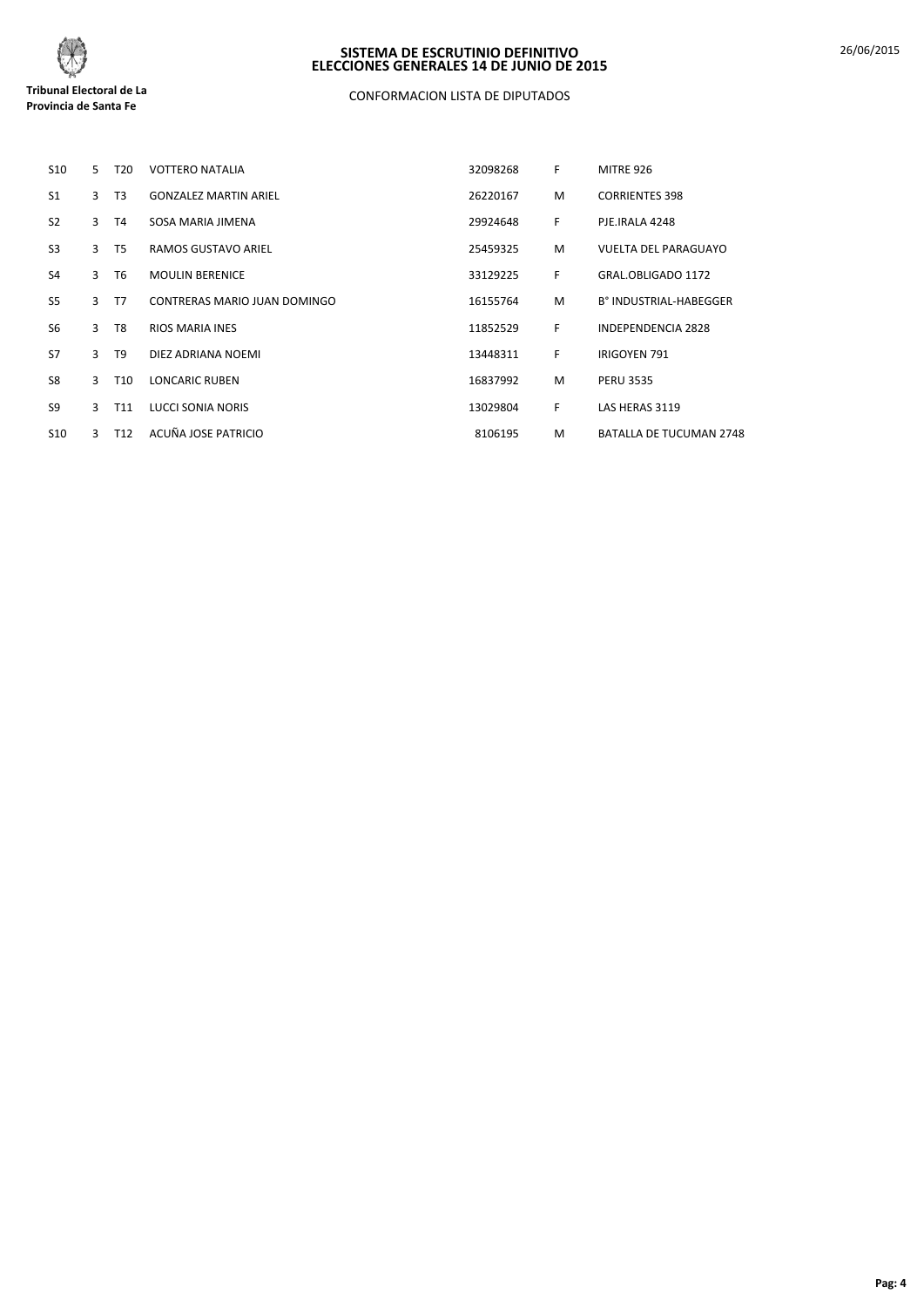

# CONFORMACION LISTA DE DIPUTADOS

| <b>S10</b>     | 5              | T <sub>20</sub> | <b>VOTTERO NATALIA</b>       | 32098268 | F  | <b>MITRE 926</b>            |
|----------------|----------------|-----------------|------------------------------|----------|----|-----------------------------|
| S <sub>1</sub> | 3              | T <sub>3</sub>  | <b>GONZALEZ MARTIN ARIEL</b> | 26220167 | M  | <b>CORRIENTES 398</b>       |
| S <sub>2</sub> | $\overline{3}$ | T <sub>4</sub>  | SOSA MARIA JIMENA            | 29924648 | F  | PJE.IRALA 4248              |
| S <sub>3</sub> | $\overline{3}$ | T <sub>5</sub>  | RAMOS GUSTAVO ARIEL          | 25459325 | M  | <b>VUELTA DEL PARAGUAYO</b> |
| S <sub>4</sub> | $\mathbf{R}$   | T <sub>6</sub>  | <b>MOULIN BERENICE</b>       | 33129225 | F  | GRAL.OBLIGADO 1172          |
| S <sub>5</sub> | $\mathbf{3}$   | T7              | CONTRERAS MARIO JUAN DOMINGO | 16155764 | M  | B° INDUSTRIAL-HABEGGER      |
| S <sub>6</sub> | 3              | T <sub>8</sub>  | <b>RIOS MARIA INES</b>       | 11852529 | F  | INDEPENDENCIA 2828          |
| S7             | $\mathbf{R}$   | T <sub>9</sub>  | DIEZ ADRIANA NOEMI           | 13448311 | F. | <b>IRIGOYEN 791</b>         |
| S8             | 3              | T <sub>10</sub> | <b>LONCARIC RUBEN</b>        | 16837992 | M  | <b>PERU 3535</b>            |
| S <sub>9</sub> | 3              | T11             | LUCCI SONIA NORIS            | 13029804 | F  | LAS HERAS 3119              |
| <b>S10</b>     | 3              | T <sub>12</sub> | ACUÑA JOSE PATRICIO          | 8106195  | M  | BATALLA DE TUCUMAN 2748     |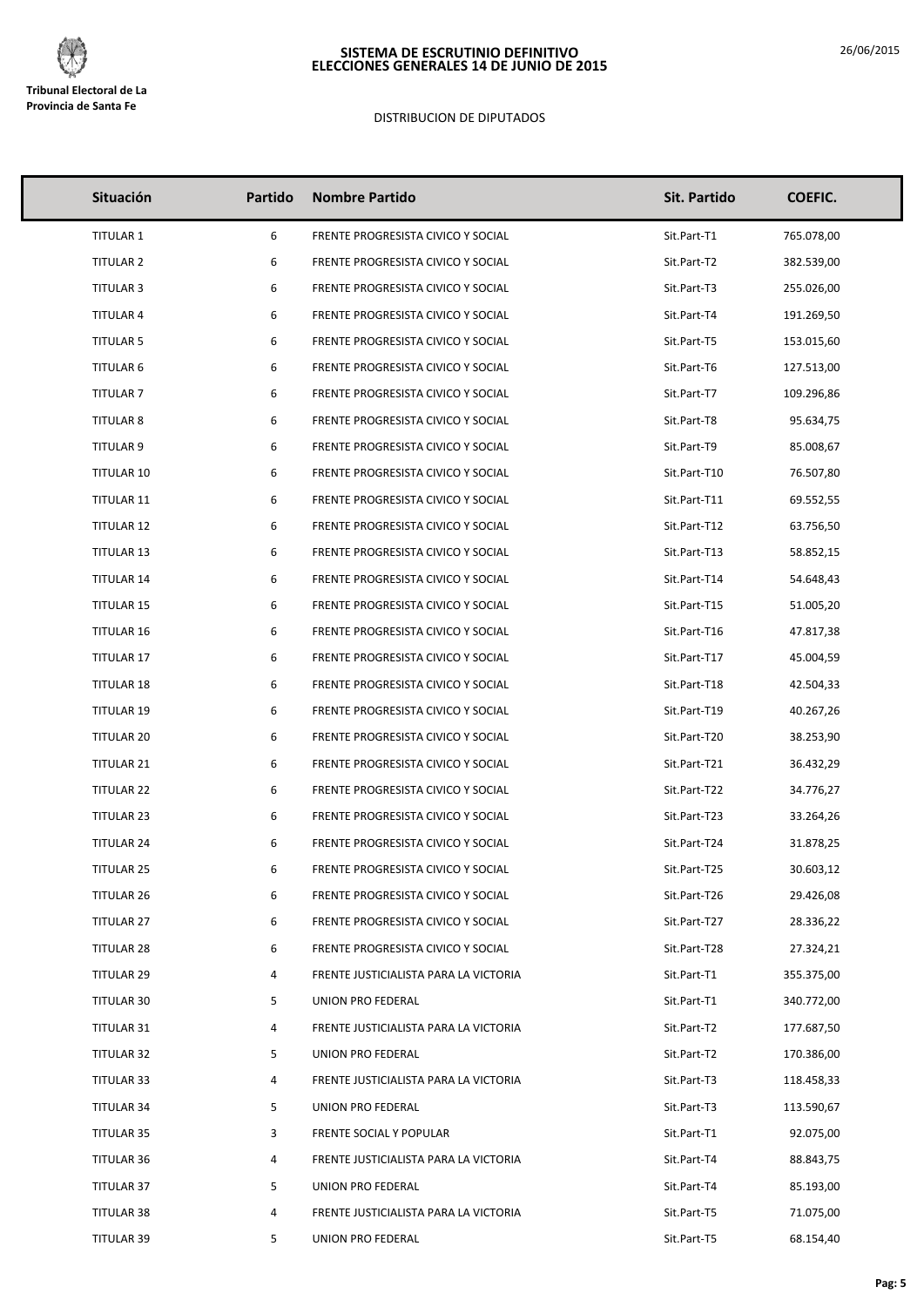

# DISTRIBUCION DE DIPUTADOS

| Situación         | Partido | <b>Nombre Partido</b>                 | Sit. Partido | <b>COEFIC.</b> |
|-------------------|---------|---------------------------------------|--------------|----------------|
| <b>TITULAR 1</b>  | 6       | FRENTE PROGRESISTA CIVICO Y SOCIAL    | Sit.Part-T1  | 765.078,00     |
| <b>TITULAR 2</b>  | 6       | FRENTE PROGRESISTA CIVICO Y SOCIAL    | Sit.Part-T2  | 382.539,00     |
| <b>TITULAR 3</b>  | 6       | FRENTE PROGRESISTA CIVICO Y SOCIAL    | Sit.Part-T3  | 255.026,00     |
| <b>TITULAR 4</b>  | 6       | FRENTE PROGRESISTA CIVICO Y SOCIAL    | Sit.Part-T4  | 191.269,50     |
| <b>TITULAR 5</b>  | 6       | FRENTE PROGRESISTA CIVICO Y SOCIAL    | Sit.Part-T5  | 153.015,60     |
| <b>TITULAR 6</b>  | 6       | FRENTE PROGRESISTA CIVICO Y SOCIAL    | Sit.Part-T6  | 127.513,00     |
| <b>TITULAR 7</b>  | 6       | FRENTE PROGRESISTA CIVICO Y SOCIAL    | Sit.Part-T7  | 109.296,86     |
| <b>TITULAR 8</b>  | 6       | FRENTE PROGRESISTA CIVICO Y SOCIAL    | Sit.Part-T8  | 95.634,75      |
| TITULAR 9         | 6       | FRENTE PROGRESISTA CIVICO Y SOCIAL    | Sit.Part-T9  | 85.008,67      |
| TITULAR 10        | 6       | FRENTE PROGRESISTA CIVICO Y SOCIAL    | Sit.Part-T10 | 76.507,80      |
| TITULAR 11        | 6       | FRENTE PROGRESISTA CIVICO Y SOCIAL    | Sit.Part-T11 | 69.552,55      |
| <b>TITULAR 12</b> | 6       | FRENTE PROGRESISTA CIVICO Y SOCIAL    | Sit.Part-T12 | 63.756,50      |
| <b>TITULAR 13</b> | 6       | FRENTE PROGRESISTA CIVICO Y SOCIAL    | Sit.Part-T13 | 58.852,15      |
| <b>TITULAR 14</b> | 6       | FRENTE PROGRESISTA CIVICO Y SOCIAL    | Sit.Part-T14 | 54.648,43      |
| <b>TITULAR 15</b> | 6       | FRENTE PROGRESISTA CIVICO Y SOCIAL    | Sit.Part-T15 | 51.005,20      |
| <b>TITULAR 16</b> | 6       | FRENTE PROGRESISTA CIVICO Y SOCIAL    | Sit.Part-T16 | 47.817,38      |
| <b>TITULAR 17</b> | 6       | FRENTE PROGRESISTA CIVICO Y SOCIAL    | Sit.Part-T17 | 45.004,59      |
| <b>TITULAR 18</b> | 6       | FRENTE PROGRESISTA CIVICO Y SOCIAL    | Sit.Part-T18 | 42.504,33      |
| <b>TITULAR 19</b> | 6       | FRENTE PROGRESISTA CIVICO Y SOCIAL    | Sit.Part-T19 | 40.267,26      |
| <b>TITULAR 20</b> | 6       | FRENTE PROGRESISTA CIVICO Y SOCIAL    | Sit.Part-T20 | 38.253,90      |
| <b>TITULAR 21</b> | 6       | FRENTE PROGRESISTA CIVICO Y SOCIAL    | Sit.Part-T21 | 36.432,29      |
| TITULAR 22        | 6       | FRENTE PROGRESISTA CIVICO Y SOCIAL    | Sit.Part-T22 | 34.776,27      |
| TITULAR 23        | 6       | FRENTE PROGRESISTA CIVICO Y SOCIAL    | Sit.Part-T23 | 33.264,26      |
| <b>TITULAR 24</b> | 6       | FRENTE PROGRESISTA CIVICO Y SOCIAL    | Sit.Part-T24 | 31.878,25      |
| <b>TITULAR 25</b> | 6       | FRENTE PROGRESISTA CIVICO Y SOCIAL    | Sit.Part-T25 | 30.603,12      |
| <b>TITULAR 26</b> | 6       | FRENTE PROGRESISTA CIVICO Y SOCIAL    | Sit.Part-T26 | 29.426,08      |
| <b>TITULAR 27</b> | 6       | FRENTE PROGRESISTA CIVICO Y SOCIAL    | Sit.Part-T27 | 28.336,22      |
| TITULAR 28        | 6       | FRENTE PROGRESISTA CIVICO Y SOCIAL    | Sit.Part-T28 | 27.324,21      |
| <b>TITULAR 29</b> | 4       | FRENTE JUSTICIALISTA PARA LA VICTORIA | Sit.Part-T1  | 355.375,00     |
| TITULAR 30        | 5       | UNION PRO FEDERAL                     | Sit.Part-T1  | 340.772,00     |
| TITULAR 31        | 4       | FRENTE JUSTICIALISTA PARA LA VICTORIA | Sit.Part-T2  | 177.687,50     |
| TITULAR 32        | 5       | UNION PRO FEDERAL                     | Sit.Part-T2  | 170.386,00     |
| TITULAR 33        | 4       | FRENTE JUSTICIALISTA PARA LA VICTORIA | Sit.Part-T3  | 118.458,33     |
| <b>TITULAR 34</b> | 5       | UNION PRO FEDERAL                     | Sit.Part-T3  | 113.590,67     |
| TITULAR 35        | 3       | FRENTE SOCIAL Y POPULAR               | Sit.Part-T1  | 92.075,00      |
| TITULAR 36        | 4       | FRENTE JUSTICIALISTA PARA LA VICTORIA | Sit.Part-T4  | 88.843,75      |
| TITULAR 37        | 5       | UNION PRO FEDERAL                     | Sit.Part-T4  | 85.193,00      |
| TITULAR 38        | 4       | FRENTE JUSTICIALISTA PARA LA VICTORIA | Sit.Part-T5  | 71.075,00      |
| TITULAR 39        | 5       | UNION PRO FEDERAL                     | Sit.Part-T5  | 68.154,40      |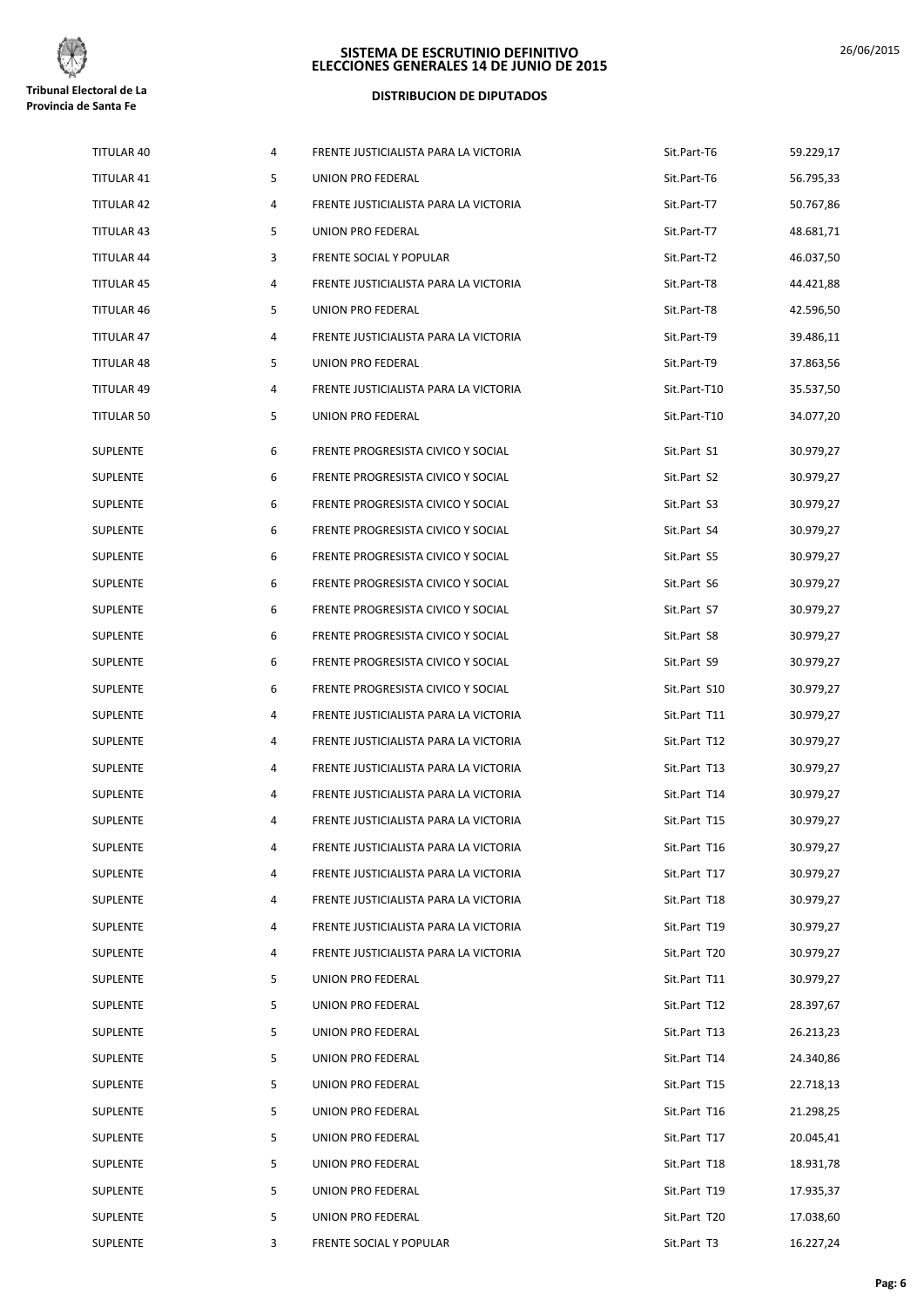

#### **DISTRIBUCION DE DIPUTADOS**

| TITULAR 40        | 4 | FRENTE JUSTICIALISTA PARA LA VICTORIA | Sit.Part-T6  | 59.229,17 |
|-------------------|---|---------------------------------------|--------------|-----------|
| TITULAR 41        | 5 | UNION PRO FEDERAL                     | Sit.Part-T6  | 56.795,33 |
| TITULAR 42        | 4 | FRENTE JUSTICIALISTA PARA LA VICTORIA | Sit.Part-T7  | 50.767,86 |
| TITULAR 43        | 5 | UNION PRO FEDERAL                     | Sit.Part-T7  | 48.681,71 |
| <b>TITULAR 44</b> | 3 | FRENTE SOCIAL Y POPULAR               | Sit.Part-T2  | 46.037,50 |
| <b>TITULAR 45</b> | 4 | FRENTE JUSTICIALISTA PARA LA VICTORIA | Sit.Part-T8  | 44.421,88 |
| TITULAR 46        | 5 | UNION PRO FEDERAL                     | Sit.Part-T8  | 42.596,50 |
| TITULAR 47        | 4 | FRENTE JUSTICIALISTA PARA LA VICTORIA | Sit.Part-T9  | 39.486,11 |
| TITULAR 48        | 5 | UNION PRO FEDERAL                     | Sit.Part-T9  | 37.863,56 |
| TITULAR 49        | 4 | FRENTE JUSTICIALISTA PARA LA VICTORIA | Sit.Part-T10 | 35.537,50 |
| TITULAR 50        | 5 | UNION PRO FEDERAL                     | Sit.Part-T10 | 34.077,20 |
| SUPLENTE          | 6 | FRENTE PROGRESISTA CIVICO Y SOCIAL    | Sit.Part S1  | 30.979,27 |
| SUPLENTE          | 6 | FRENTE PROGRESISTA CIVICO Y SOCIAL    | Sit.Part S2  | 30.979,27 |
| SUPLENTE          | 6 | FRENTE PROGRESISTA CIVICO Y SOCIAL    | Sit.Part S3  | 30.979,27 |
| SUPLENTE          | 6 | FRENTE PROGRESISTA CIVICO Y SOCIAL    | Sit.Part S4  | 30.979,27 |
| <b>SUPLENTE</b>   | 6 | FRENTE PROGRESISTA CIVICO Y SOCIAL    | Sit.Part S5  | 30.979,27 |
| <b>SUPLENTE</b>   | 6 | FRENTE PROGRESISTA CIVICO Y SOCIAL    | Sit.Part S6  | 30.979,27 |
| <b>SUPLENTE</b>   | 6 | FRENTE PROGRESISTA CIVICO Y SOCIAL    | Sit.Part S7  | 30.979,27 |
| SUPLENTE          | 6 | FRENTE PROGRESISTA CIVICO Y SOCIAL    | Sit.Part S8  | 30.979,27 |
| SUPLENTE          | 6 | FRENTE PROGRESISTA CIVICO Y SOCIAL    | Sit.Part S9  | 30.979,27 |
| SUPLENTE          | 6 | FRENTE PROGRESISTA CIVICO Y SOCIAL    | Sit.Part S10 | 30.979,27 |
| SUPLENTE          | 4 | FRENTE JUSTICIALISTA PARA LA VICTORIA | Sit.Part T11 | 30.979,27 |
| SUPLENTE          | 4 | FRENTE JUSTICIALISTA PARA LA VICTORIA | Sit.Part T12 | 30.979,27 |
| <b>SUPLENTE</b>   | 4 | FRENTE JUSTICIALISTA PARA LA VICTORIA | Sit.Part T13 | 30.979,27 |
| SUPLENTE          | 4 | FRENTE JUSTICIALISTA PARA LA VICTORIA | Sit.Part T14 | 30.979,27 |
| <b>SUPLENTE</b>   | 4 | FRENTE JUSTICIALISTA PARA LA VICTORIA | Sit.Part T15 | 30.979,27 |
| <b>SUPLENTE</b>   | 4 | FRENTE JUSTICIALISTA PARA LA VICTORIA | Sit.Part T16 | 30.979,27 |
| SUPLENTE          | 4 | FRENTE JUSTICIALISTA PARA LA VICTORIA | Sit.Part T17 | 30.979,27 |
| <b>SUPLENTE</b>   | 4 | FRENTE JUSTICIALISTA PARA LA VICTORIA | Sit.Part T18 | 30.979,27 |
| SUPLENTE          | 4 | FRENTE JUSTICIALISTA PARA LA VICTORIA | Sit.Part T19 | 30.979,27 |
| SUPLENTE          | 4 | FRENTE JUSTICIALISTA PARA LA VICTORIA | Sit.Part T20 | 30.979,27 |
| SUPLENTE          | 5 | UNION PRO FEDERAL                     | Sit.Part T11 | 30.979,27 |
| SUPLENTE          | 5 | UNION PRO FEDERAL                     | Sit.Part T12 | 28.397,67 |
| <b>SUPLENTE</b>   | 5 | UNION PRO FEDERAL                     | Sit.Part T13 | 26.213,23 |
| <b>SUPLENTE</b>   | 5 | UNION PRO FEDERAL                     | Sit.Part T14 | 24.340,86 |
| SUPLENTE          | 5 | UNION PRO FEDERAL                     | Sit.Part T15 | 22.718,13 |
| SUPLENTE          | 5 | UNION PRO FEDERAL                     | Sit.Part T16 | 21.298,25 |
| SUPLENTE          | 5 | UNION PRO FEDERAL                     | Sit.Part T17 | 20.045,41 |
| SUPLENTE          | 5 | UNION PRO FEDERAL                     | Sit.Part T18 | 18.931,78 |
| <b>SUPLENTE</b>   | 5 | UNION PRO FEDERAL                     | Sit.Part T19 | 17.935,37 |
| <b>SUPLENTE</b>   | 5 | UNION PRO FEDERAL                     | Sit.Part T20 | 17.038,60 |
| <b>SUPLENTE</b>   | 3 | FRENTE SOCIAL Y POPULAR               | Sit.Part T3  | 16.227,24 |